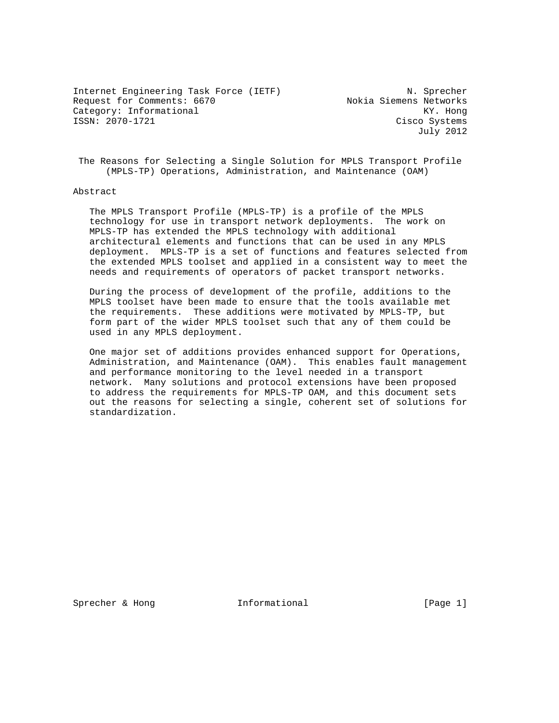Internet Engineering Task Force (IETF) N. Sprecher Request for Comments: 6670 Nokia Siemens Networks Category: Informational KY. Hong<br>
ISSN: 2070-1721 Cisco Systems

Cisco Systems July 2012

 The Reasons for Selecting a Single Solution for MPLS Transport Profile (MPLS-TP) Operations, Administration, and Maintenance (OAM)

## Abstract

 The MPLS Transport Profile (MPLS-TP) is a profile of the MPLS technology for use in transport network deployments. The work on MPLS-TP has extended the MPLS technology with additional architectural elements and functions that can be used in any MPLS deployment. MPLS-TP is a set of functions and features selected from the extended MPLS toolset and applied in a consistent way to meet the needs and requirements of operators of packet transport networks.

 During the process of development of the profile, additions to the MPLS toolset have been made to ensure that the tools available met the requirements. These additions were motivated by MPLS-TP, but form part of the wider MPLS toolset such that any of them could be used in any MPLS deployment.

 One major set of additions provides enhanced support for Operations, Administration, and Maintenance (OAM). This enables fault management and performance monitoring to the level needed in a transport network. Many solutions and protocol extensions have been proposed to address the requirements for MPLS-TP OAM, and this document sets out the reasons for selecting a single, coherent set of solutions for standardization.

Sprecher & Hong **Informational** [Page 1]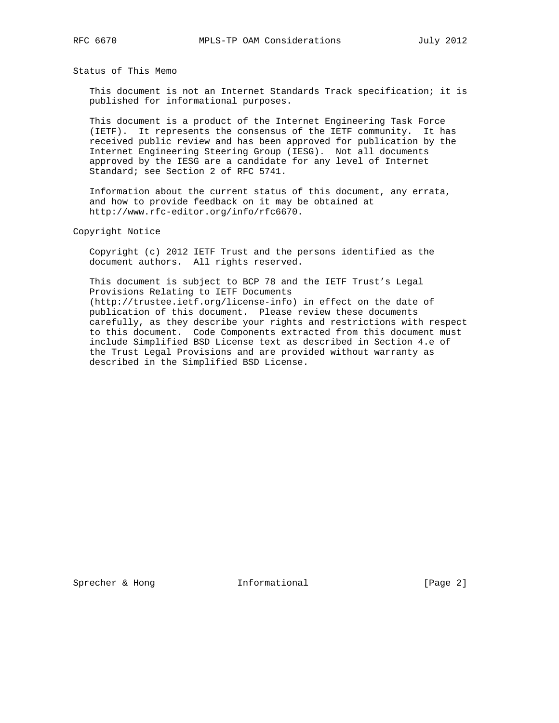Status of This Memo

 This document is not an Internet Standards Track specification; it is published for informational purposes.

 This document is a product of the Internet Engineering Task Force (IETF). It represents the consensus of the IETF community. It has received public review and has been approved for publication by the Internet Engineering Steering Group (IESG). Not all documents approved by the IESG are a candidate for any level of Internet Standard; see Section 2 of RFC 5741.

 Information about the current status of this document, any errata, and how to provide feedback on it may be obtained at http://www.rfc-editor.org/info/rfc6670.

Copyright Notice

 Copyright (c) 2012 IETF Trust and the persons identified as the document authors. All rights reserved.

 This document is subject to BCP 78 and the IETF Trust's Legal Provisions Relating to IETF Documents (http://trustee.ietf.org/license-info) in effect on the date of publication of this document. Please review these documents carefully, as they describe your rights and restrictions with respect to this document. Code Components extracted from this document must include Simplified BSD License text as described in Section 4.e of the Trust Legal Provisions and are provided without warranty as described in the Simplified BSD License.

Sprecher & Hong **Informational** [Page 2]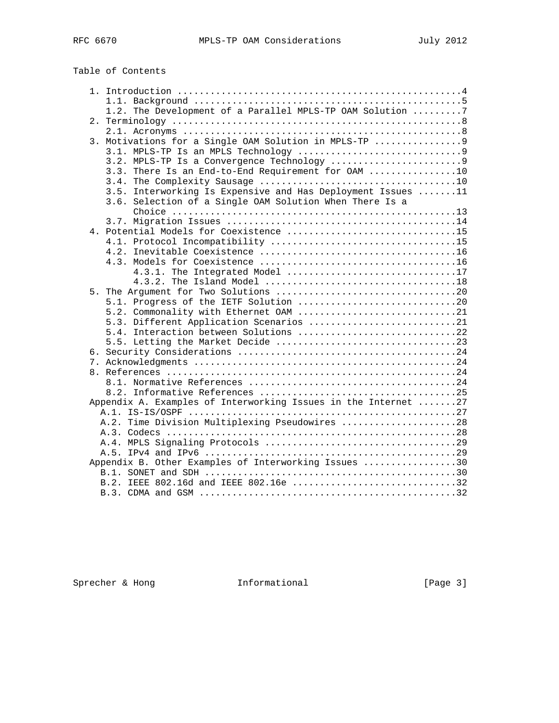| Table of Contents |  |
|-------------------|--|
|-------------------|--|

| 1.2. The Development of a Parallel MPLS-TP OAM Solution 7      |  |
|----------------------------------------------------------------|--|
|                                                                |  |
|                                                                |  |
| 3. Motivations for a Single OAM Solution in MPLS-TP  9         |  |
|                                                                |  |
|                                                                |  |
| 3.3. There Is an End-to-End Requirement for OAM 10             |  |
|                                                                |  |
| 3.5. Interworking Is Expensive and Has Deployment Issues 11    |  |
| 3.6. Selection of a Single OAM Solution When There Is a        |  |
|                                                                |  |
|                                                                |  |
|                                                                |  |
|                                                                |  |
|                                                                |  |
|                                                                |  |
| 4.3.1. The Integrated Model 17                                 |  |
|                                                                |  |
|                                                                |  |
| 5.1. Progress of the IETF Solution 20                          |  |
| 5.2. Commonality with Ethernet OAM 21                          |  |
| 5.3. Different Application Scenarios 21                        |  |
| 5.4. Interaction between Solutions 22                          |  |
|                                                                |  |
|                                                                |  |
|                                                                |  |
|                                                                |  |
|                                                                |  |
|                                                                |  |
| Appendix A. Examples of Interworking Issues in the Internet 27 |  |
|                                                                |  |
| A.2. Time Division Multiplexing Pseudowires 28                 |  |
|                                                                |  |
|                                                                |  |
|                                                                |  |
| Appendix B. Other Examples of Interworking Issues 30           |  |
|                                                                |  |
| B.2. IEEE 802.16d and IEEE 802.16e 32                          |  |
|                                                                |  |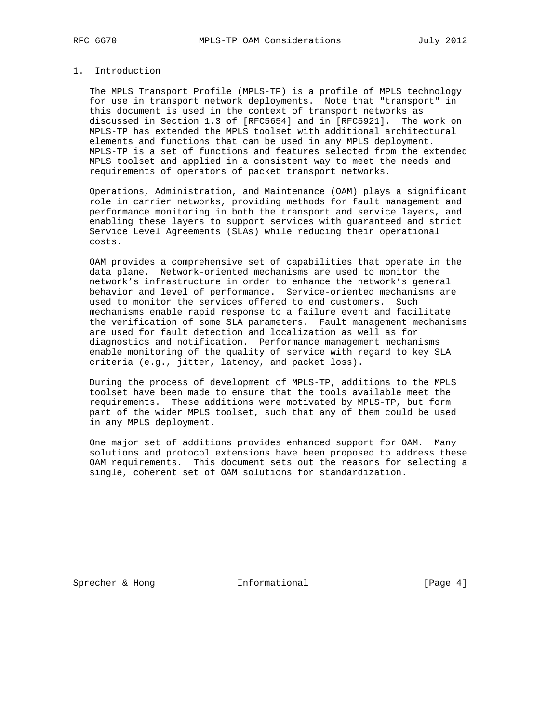# 1. Introduction

 The MPLS Transport Profile (MPLS-TP) is a profile of MPLS technology for use in transport network deployments. Note that "transport" in this document is used in the context of transport networks as discussed in Section 1.3 of [RFC5654] and in [RFC5921]. The work on MPLS-TP has extended the MPLS toolset with additional architectural elements and functions that can be used in any MPLS deployment. MPLS-TP is a set of functions and features selected from the extended MPLS toolset and applied in a consistent way to meet the needs and requirements of operators of packet transport networks.

 Operations, Administration, and Maintenance (OAM) plays a significant role in carrier networks, providing methods for fault management and performance monitoring in both the transport and service layers, and enabling these layers to support services with guaranteed and strict Service Level Agreements (SLAs) while reducing their operational costs.

 OAM provides a comprehensive set of capabilities that operate in the data plane. Network-oriented mechanisms are used to monitor the network's infrastructure in order to enhance the network's general behavior and level of performance. Service-oriented mechanisms are used to monitor the services offered to end customers. Such mechanisms enable rapid response to a failure event and facilitate the verification of some SLA parameters. Fault management mechanisms are used for fault detection and localization as well as for diagnostics and notification. Performance management mechanisms enable monitoring of the quality of service with regard to key SLA criteria (e.g., jitter, latency, and packet loss).

 During the process of development of MPLS-TP, additions to the MPLS toolset have been made to ensure that the tools available meet the requirements. These additions were motivated by MPLS-TP, but form part of the wider MPLS toolset, such that any of them could be used in any MPLS deployment.

 One major set of additions provides enhanced support for OAM. Many solutions and protocol extensions have been proposed to address these OAM requirements. This document sets out the reasons for selecting a single, coherent set of OAM solutions for standardization.

Sprecher & Hong **Informational** [Page 4]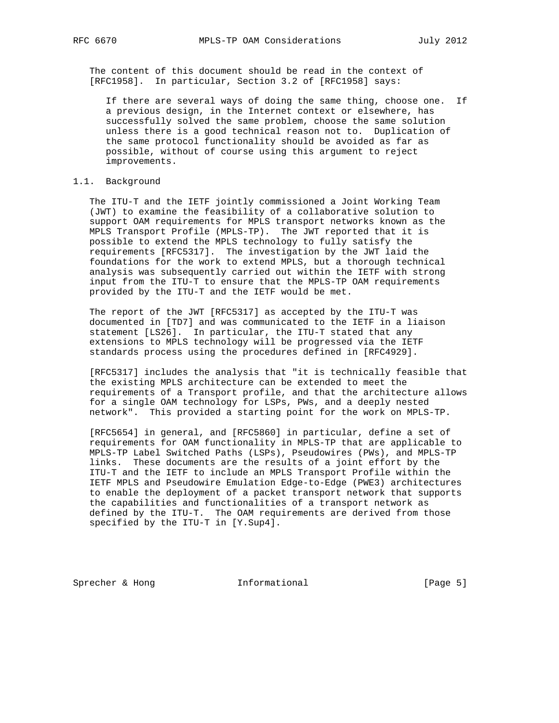The content of this document should be read in the context of [RFC1958]. In particular, Section 3.2 of [RFC1958] says:

 If there are several ways of doing the same thing, choose one. If a previous design, in the Internet context or elsewhere, has successfully solved the same problem, choose the same solution unless there is a good technical reason not to. Duplication of the same protocol functionality should be avoided as far as possible, without of course using this argument to reject improvements.

# 1.1. Background

 The ITU-T and the IETF jointly commissioned a Joint Working Team (JWT) to examine the feasibility of a collaborative solution to support OAM requirements for MPLS transport networks known as the MPLS Transport Profile (MPLS-TP). The JWT reported that it is possible to extend the MPLS technology to fully satisfy the requirements [RFC5317]. The investigation by the JWT laid the foundations for the work to extend MPLS, but a thorough technical analysis was subsequently carried out within the IETF with strong input from the ITU-T to ensure that the MPLS-TP OAM requirements provided by the ITU-T and the IETF would be met.

 The report of the JWT [RFC5317] as accepted by the ITU-T was documented in [TD7] and was communicated to the IETF in a liaison statement [LS26]. In particular, the ITU-T stated that any extensions to MPLS technology will be progressed via the IETF standards process using the procedures defined in [RFC4929].

 [RFC5317] includes the analysis that "it is technically feasible that the existing MPLS architecture can be extended to meet the requirements of a Transport profile, and that the architecture allows for a single OAM technology for LSPs, PWs, and a deeply nested network". This provided a starting point for the work on MPLS-TP.

 [RFC5654] in general, and [RFC5860] in particular, define a set of requirements for OAM functionality in MPLS-TP that are applicable to MPLS-TP Label Switched Paths (LSPs), Pseudowires (PWs), and MPLS-TP links. These documents are the results of a joint effort by the ITU-T and the IETF to include an MPLS Transport Profile within the IETF MPLS and Pseudowire Emulation Edge-to-Edge (PWE3) architectures to enable the deployment of a packet transport network that supports the capabilities and functionalities of a transport network as defined by the ITU-T. The OAM requirements are derived from those specified by the ITU-T in [Y.Sup4].

Sprecher & Hong **Informational** [Page 5]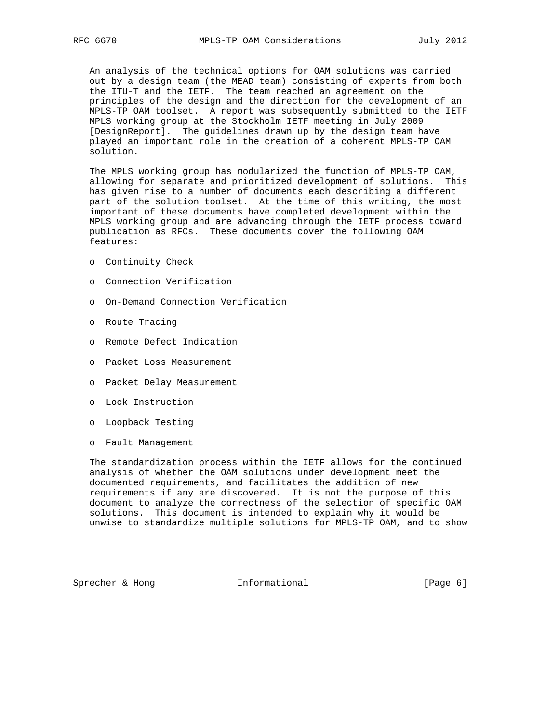An analysis of the technical options for OAM solutions was carried out by a design team (the MEAD team) consisting of experts from both the ITU-T and the IETF. The team reached an agreement on the principles of the design and the direction for the development of an MPLS-TP OAM toolset. A report was subsequently submitted to the IETF MPLS working group at the Stockholm IETF meeting in July 2009 [DesignReport]. The guidelines drawn up by the design team have played an important role in the creation of a coherent MPLS-TP OAM solution.

 The MPLS working group has modularized the function of MPLS-TP OAM, allowing for separate and prioritized development of solutions. This has given rise to a number of documents each describing a different part of the solution toolset. At the time of this writing, the most important of these documents have completed development within the MPLS working group and are advancing through the IETF process toward publication as RFCs. These documents cover the following OAM features:

- o Continuity Check
- o Connection Verification
- o On-Demand Connection Verification
- o Route Tracing
- o Remote Defect Indication
- o Packet Loss Measurement
- o Packet Delay Measurement
- o Lock Instruction
- o Loopback Testing
- o Fault Management

 The standardization process within the IETF allows for the continued analysis of whether the OAM solutions under development meet the documented requirements, and facilitates the addition of new requirements if any are discovered. It is not the purpose of this document to analyze the correctness of the selection of specific OAM solutions. This document is intended to explain why it would be unwise to standardize multiple solutions for MPLS-TP OAM, and to show

Sprecher & Hong **Informational** [Page 6]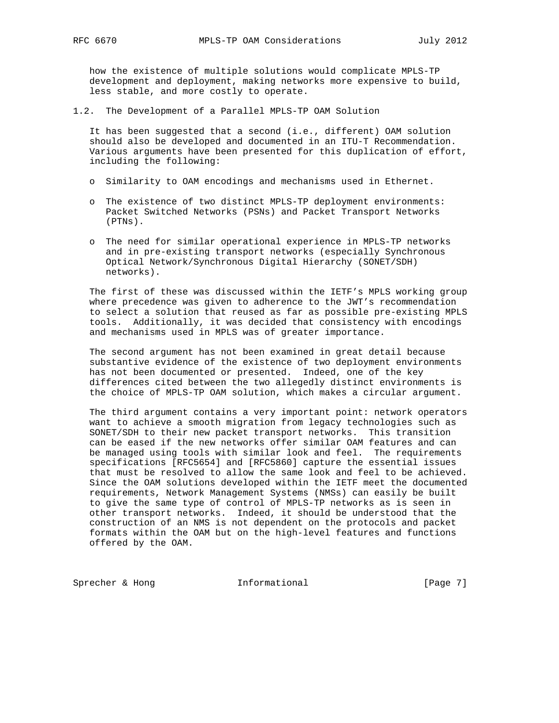how the existence of multiple solutions would complicate MPLS-TP development and deployment, making networks more expensive to build, less stable, and more costly to operate.

1.2. The Development of a Parallel MPLS-TP OAM Solution

 It has been suggested that a second (i.e., different) OAM solution should also be developed and documented in an ITU-T Recommendation. Various arguments have been presented for this duplication of effort, including the following:

- o Similarity to OAM encodings and mechanisms used in Ethernet.
- o The existence of two distinct MPLS-TP deployment environments: Packet Switched Networks (PSNs) and Packet Transport Networks (PTNs).
- o The need for similar operational experience in MPLS-TP networks and in pre-existing transport networks (especially Synchronous Optical Network/Synchronous Digital Hierarchy (SONET/SDH) networks).

 The first of these was discussed within the IETF's MPLS working group where precedence was given to adherence to the JWT's recommendation to select a solution that reused as far as possible pre-existing MPLS tools. Additionally, it was decided that consistency with encodings and mechanisms used in MPLS was of greater importance.

 The second argument has not been examined in great detail because substantive evidence of the existence of two deployment environments has not been documented or presented. Indeed, one of the key differences cited between the two allegedly distinct environments is the choice of MPLS-TP OAM solution, which makes a circular argument.

 The third argument contains a very important point: network operators want to achieve a smooth migration from legacy technologies such as SONET/SDH to their new packet transport networks. This transition can be eased if the new networks offer similar OAM features and can be managed using tools with similar look and feel. The requirements specifications [RFC5654] and [RFC5860] capture the essential issues that must be resolved to allow the same look and feel to be achieved. Since the OAM solutions developed within the IETF meet the documented requirements, Network Management Systems (NMSs) can easily be built to give the same type of control of MPLS-TP networks as is seen in other transport networks. Indeed, it should be understood that the construction of an NMS is not dependent on the protocols and packet formats within the OAM but on the high-level features and functions offered by the OAM.

Sprecher & Hong **Informational** [Page 7]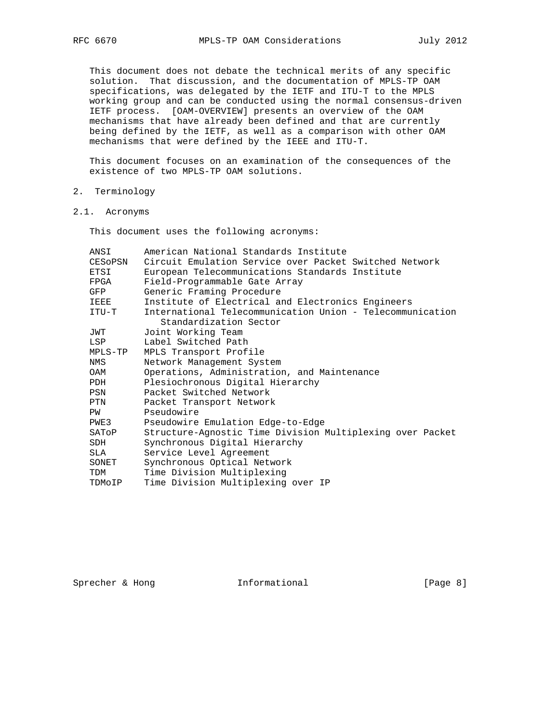This document does not debate the technical merits of any specific solution. That discussion, and the documentation of MPLS-TP OAM specifications, was delegated by the IETF and ITU-T to the MPLS working group and can be conducted using the normal consensus-driven IETF process. [OAM-OVERVIEW] presents an overview of the OAM mechanisms that have already been defined and that are currently being defined by the IETF, as well as a comparison with other OAM mechanisms that were defined by the IEEE and ITU-T.

 This document focuses on an examination of the consequences of the existence of two MPLS-TP OAM solutions.

- 2. Terminology
- 2.1. Acronyms

This document uses the following acronyms:

| ANSI        | American National Standards Institute                     |
|-------------|-----------------------------------------------------------|
| CESOPSN     | Circuit Emulation Service over Packet Switched Network    |
| ETSI        | European Telecommunications Standards Institute           |
| FPGA        | Field-Programmable Gate Array                             |
| GFP         | Generic Framing Procedure                                 |
| <b>IEEE</b> | Institute of Electrical and Electronics Engineers         |
| ITU-T       | International Telecommunication Union - Telecommunication |
|             | Standardization Sector                                    |
| JWT         | Joint Working Team                                        |
| LSP         | Label Switched Path                                       |
| MPLS-TP     | MPLS Transport Profile                                    |
| NMS         | Network Management System                                 |
| OAM         | Operations, Administration, and Maintenance               |
| PDH         | Plesiochronous Digital Hierarchy                          |
| PSN         | Packet Switched Network                                   |
| PTN         | Packet Transport Network                                  |
| PW          | Pseudowire                                                |
| PWE3        | Pseudowire Emulation Edge-to-Edge                         |
| SATOP       | Structure-Agnostic Time Division Multiplexing over Packet |
| SDH         | Synchronous Digital Hierarchy                             |
| SLA         | Service Level Agreement                                   |
| SONET       | Synchronous Optical Network                               |
| TDM         | Time Division Multiplexing                                |
| TDMOIP      | Time Division Multiplexing over IP                        |
|             |                                                           |

Sprecher & Hong **Informational** [Page 8]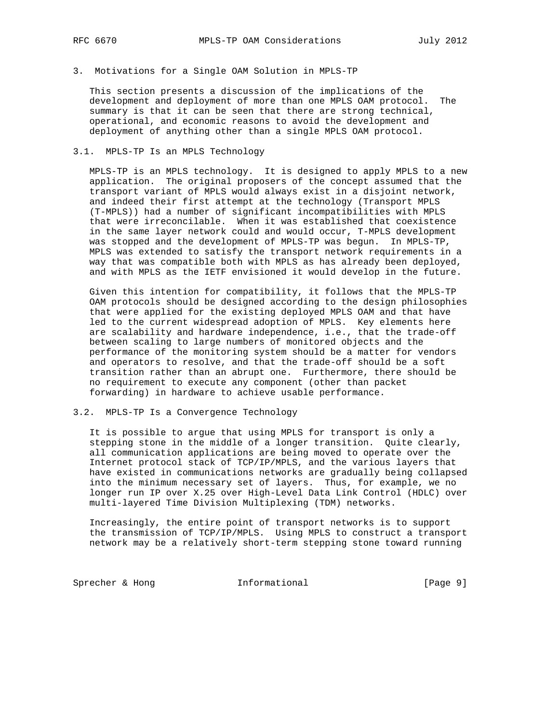3. Motivations for a Single OAM Solution in MPLS-TP

 This section presents a discussion of the implications of the development and deployment of more than one MPLS OAM protocol. The summary is that it can be seen that there are strong technical, operational, and economic reasons to avoid the development and deployment of anything other than a single MPLS OAM protocol.

### 3.1. MPLS-TP Is an MPLS Technology

 MPLS-TP is an MPLS technology. It is designed to apply MPLS to a new application. The original proposers of the concept assumed that the transport variant of MPLS would always exist in a disjoint network, and indeed their first attempt at the technology (Transport MPLS (T-MPLS)) had a number of significant incompatibilities with MPLS that were irreconcilable. When it was established that coexistence in the same layer network could and would occur, T-MPLS development was stopped and the development of MPLS-TP was begun. In MPLS-TP, MPLS was extended to satisfy the transport network requirements in a way that was compatible both with MPLS as has already been deployed, and with MPLS as the IETF envisioned it would develop in the future.

 Given this intention for compatibility, it follows that the MPLS-TP OAM protocols should be designed according to the design philosophies that were applied for the existing deployed MPLS OAM and that have led to the current widespread adoption of MPLS. Key elements here are scalability and hardware independence, i.e., that the trade-off between scaling to large numbers of monitored objects and the performance of the monitoring system should be a matter for vendors and operators to resolve, and that the trade-off should be a soft transition rather than an abrupt one. Furthermore, there should be no requirement to execute any component (other than packet forwarding) in hardware to achieve usable performance.

### 3.2. MPLS-TP Is a Convergence Technology

 It is possible to argue that using MPLS for transport is only a stepping stone in the middle of a longer transition. Quite clearly, all communication applications are being moved to operate over the Internet protocol stack of TCP/IP/MPLS, and the various layers that have existed in communications networks are gradually being collapsed into the minimum necessary set of layers. Thus, for example, we no longer run IP over X.25 over High-Level Data Link Control (HDLC) over multi-layered Time Division Multiplexing (TDM) networks.

 Increasingly, the entire point of transport networks is to support the transmission of TCP/IP/MPLS. Using MPLS to construct a transport network may be a relatively short-term stepping stone toward running

Sprecher & Hong **Informational** [Page 9]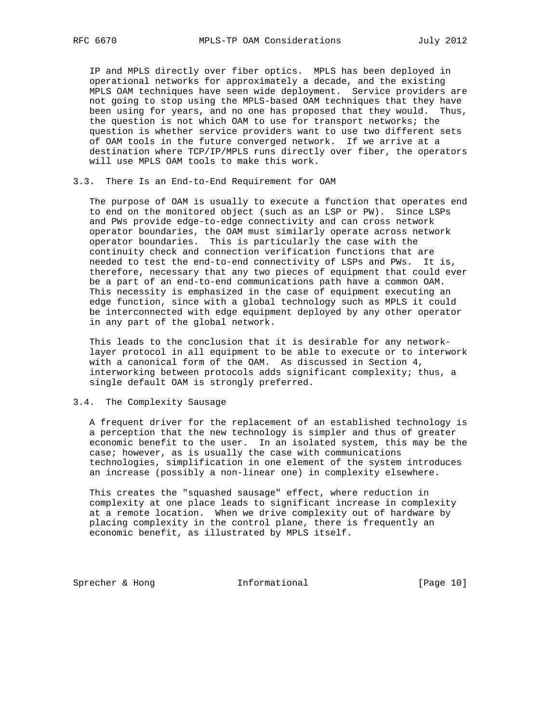IP and MPLS directly over fiber optics. MPLS has been deployed in operational networks for approximately a decade, and the existing MPLS OAM techniques have seen wide deployment. Service providers are not going to stop using the MPLS-based OAM techniques that they have been using for years, and no one has proposed that they would. Thus, the question is not which OAM to use for transport networks; the question is whether service providers want to use two different sets of OAM tools in the future converged network. If we arrive at a destination where TCP/IP/MPLS runs directly over fiber, the operators will use MPLS OAM tools to make this work.

3.3. There Is an End-to-End Requirement for OAM

 The purpose of OAM is usually to execute a function that operates end to end on the monitored object (such as an LSP or PW). Since LSPs and PWs provide edge-to-edge connectivity and can cross network operator boundaries, the OAM must similarly operate across network operator boundaries. This is particularly the case with the continuity check and connection verification functions that are needed to test the end-to-end connectivity of LSPs and PWs. It is, therefore, necessary that any two pieces of equipment that could ever be a part of an end-to-end communications path have a common OAM. This necessity is emphasized in the case of equipment executing an edge function, since with a global technology such as MPLS it could be interconnected with edge equipment deployed by any other operator in any part of the global network.

 This leads to the conclusion that it is desirable for any network layer protocol in all equipment to be able to execute or to interwork with a canonical form of the OAM. As discussed in Section 4, interworking between protocols adds significant complexity; thus, a single default OAM is strongly preferred.

# 3.4. The Complexity Sausage

 A frequent driver for the replacement of an established technology is a perception that the new technology is simpler and thus of greater economic benefit to the user. In an isolated system, this may be the case; however, as is usually the case with communications technologies, simplification in one element of the system introduces an increase (possibly a non-linear one) in complexity elsewhere.

 This creates the "squashed sausage" effect, where reduction in complexity at one place leads to significant increase in complexity at a remote location. When we drive complexity out of hardware by placing complexity in the control plane, there is frequently an economic benefit, as illustrated by MPLS itself.

Sprecher & Hong **Informational** [Page 10]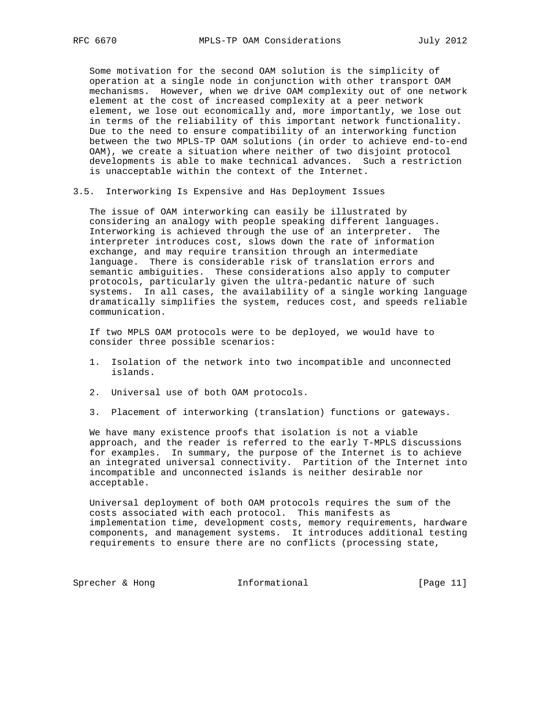Some motivation for the second OAM solution is the simplicity of operation at a single node in conjunction with other transport OAM mechanisms. However, when we drive OAM complexity out of one network element at the cost of increased complexity at a peer network element, we lose out economically and, more importantly, we lose out in terms of the reliability of this important network functionality. Due to the need to ensure compatibility of an interworking function between the two MPLS-TP OAM solutions (in order to achieve end-to-end OAM), we create a situation where neither of two disjoint protocol developments is able to make technical advances. Such a restriction is unacceptable within the context of the Internet.

3.5. Interworking Is Expensive and Has Deployment Issues

 The issue of OAM interworking can easily be illustrated by considering an analogy with people speaking different languages. Interworking is achieved through the use of an interpreter. The interpreter introduces cost, slows down the rate of information exchange, and may require transition through an intermediate language. There is considerable risk of translation errors and semantic ambiguities. These considerations also apply to computer protocols, particularly given the ultra-pedantic nature of such systems. In all cases, the availability of a single working language dramatically simplifies the system, reduces cost, and speeds reliable communication.

 If two MPLS OAM protocols were to be deployed, we would have to consider three possible scenarios:

- 1. Isolation of the network into two incompatible and unconnected islands.
- 2. Universal use of both OAM protocols.
- 3. Placement of interworking (translation) functions or gateways.

 We have many existence proofs that isolation is not a viable approach, and the reader is referred to the early T-MPLS discussions for examples. In summary, the purpose of the Internet is to achieve an integrated universal connectivity. Partition of the Internet into incompatible and unconnected islands is neither desirable nor acceptable.

 Universal deployment of both OAM protocols requires the sum of the costs associated with each protocol. This manifests as implementation time, development costs, memory requirements, hardware components, and management systems. It introduces additional testing requirements to ensure there are no conflicts (processing state,

Sprecher & Hong **Informational** [Page 11]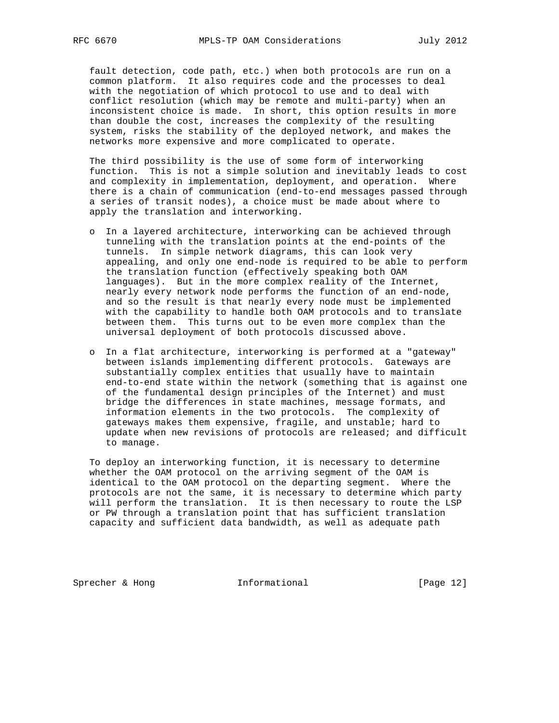fault detection, code path, etc.) when both protocols are run on a common platform. It also requires code and the processes to deal with the negotiation of which protocol to use and to deal with conflict resolution (which may be remote and multi-party) when an inconsistent choice is made. In short, this option results in more than double the cost, increases the complexity of the resulting system, risks the stability of the deployed network, and makes the networks more expensive and more complicated to operate.

 The third possibility is the use of some form of interworking function. This is not a simple solution and inevitably leads to cost and complexity in implementation, deployment, and operation. Where there is a chain of communication (end-to-end messages passed through a series of transit nodes), a choice must be made about where to apply the translation and interworking.

- o In a layered architecture, interworking can be achieved through tunneling with the translation points at the end-points of the tunnels. In simple network diagrams, this can look very appealing, and only one end-node is required to be able to perform the translation function (effectively speaking both OAM languages). But in the more complex reality of the Internet, nearly every network node performs the function of an end-node, and so the result is that nearly every node must be implemented with the capability to handle both OAM protocols and to translate between them. This turns out to be even more complex than the universal deployment of both protocols discussed above.
- o In a flat architecture, interworking is performed at a "gateway" between islands implementing different protocols. Gateways are substantially complex entities that usually have to maintain end-to-end state within the network (something that is against one of the fundamental design principles of the Internet) and must bridge the differences in state machines, message formats, and information elements in the two protocols. The complexity of gateways makes them expensive, fragile, and unstable; hard to update when new revisions of protocols are released; and difficult to manage.

 To deploy an interworking function, it is necessary to determine whether the OAM protocol on the arriving segment of the OAM is identical to the OAM protocol on the departing segment. Where the protocols are not the same, it is necessary to determine which party will perform the translation. It is then necessary to route the LSP or PW through a translation point that has sufficient translation capacity and sufficient data bandwidth, as well as adequate path

Sprecher & Hong **Informational** [Page 12]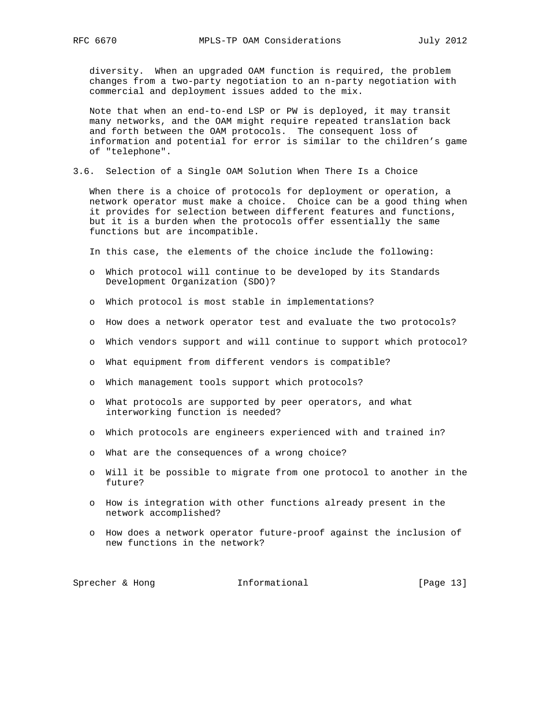diversity. When an upgraded OAM function is required, the problem changes from a two-party negotiation to an n-party negotiation with commercial and deployment issues added to the mix.

 Note that when an end-to-end LSP or PW is deployed, it may transit many networks, and the OAM might require repeated translation back and forth between the OAM protocols. The consequent loss of information and potential for error is similar to the children's game of "telephone".

3.6. Selection of a Single OAM Solution When There Is a Choice

 When there is a choice of protocols for deployment or operation, a network operator must make a choice. Choice can be a good thing when it provides for selection between different features and functions, but it is a burden when the protocols offer essentially the same functions but are incompatible.

In this case, the elements of the choice include the following:

- o Which protocol will continue to be developed by its Standards Development Organization (SDO)?
- o Which protocol is most stable in implementations?
- o How does a network operator test and evaluate the two protocols?
- o Which vendors support and will continue to support which protocol?
- o What equipment from different vendors is compatible?
- o Which management tools support which protocols?
- o What protocols are supported by peer operators, and what interworking function is needed?
- o Which protocols are engineers experienced with and trained in?
- o What are the consequences of a wrong choice?
- o Will it be possible to migrate from one protocol to another in the future?
- o How is integration with other functions already present in the network accomplished?
- o How does a network operator future-proof against the inclusion of new functions in the network?

Sprecher & Hong **Informational** [Page 13]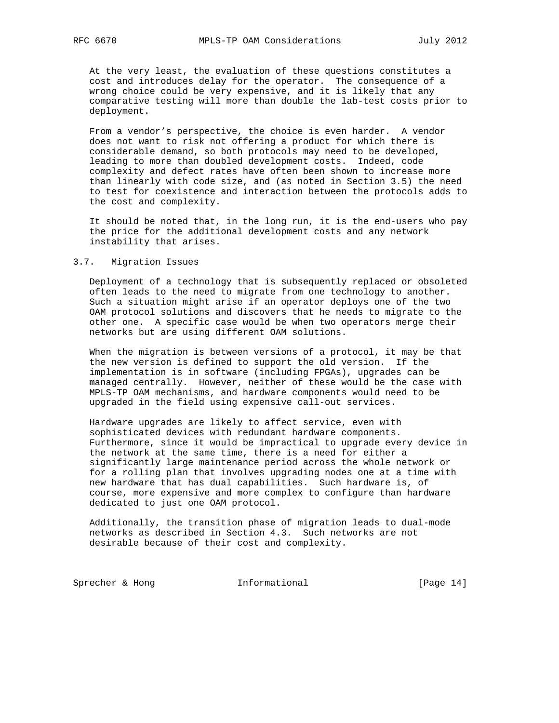At the very least, the evaluation of these questions constitutes a cost and introduces delay for the operator. The consequence of a wrong choice could be very expensive, and it is likely that any comparative testing will more than double the lab-test costs prior to deployment.

 From a vendor's perspective, the choice is even harder. A vendor does not want to risk not offering a product for which there is considerable demand, so both protocols may need to be developed, leading to more than doubled development costs. Indeed, code complexity and defect rates have often been shown to increase more than linearly with code size, and (as noted in Section 3.5) the need to test for coexistence and interaction between the protocols adds to the cost and complexity.

 It should be noted that, in the long run, it is the end-users who pay the price for the additional development costs and any network instability that arises.

#### 3.7. Migration Issues

 Deployment of a technology that is subsequently replaced or obsoleted often leads to the need to migrate from one technology to another. Such a situation might arise if an operator deploys one of the two OAM protocol solutions and discovers that he needs to migrate to the other one. A specific case would be when two operators merge their networks but are using different OAM solutions.

 When the migration is between versions of a protocol, it may be that the new version is defined to support the old version. If the implementation is in software (including FPGAs), upgrades can be managed centrally. However, neither of these would be the case with MPLS-TP OAM mechanisms, and hardware components would need to be upgraded in the field using expensive call-out services.

 Hardware upgrades are likely to affect service, even with sophisticated devices with redundant hardware components. Furthermore, since it would be impractical to upgrade every device in the network at the same time, there is a need for either a significantly large maintenance period across the whole network or for a rolling plan that involves upgrading nodes one at a time with new hardware that has dual capabilities. Such hardware is, of course, more expensive and more complex to configure than hardware dedicated to just one OAM protocol.

 Additionally, the transition phase of migration leads to dual-mode networks as described in Section 4.3. Such networks are not desirable because of their cost and complexity.

Sprecher & Hong **Informational** [Page 14]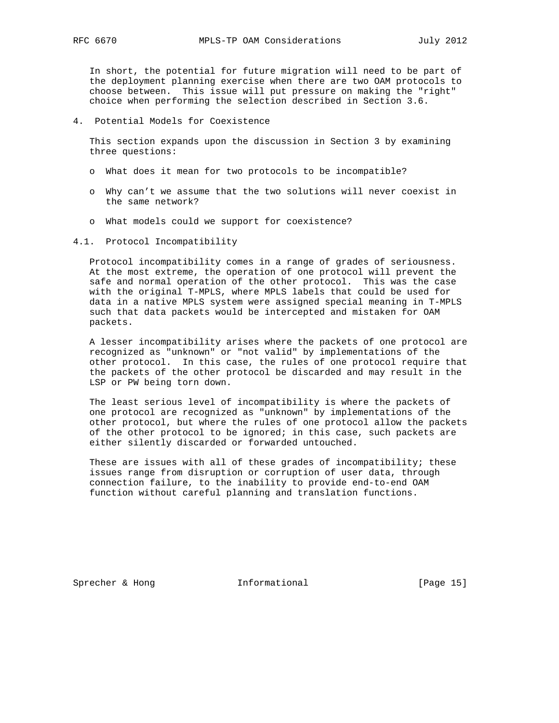In short, the potential for future migration will need to be part of the deployment planning exercise when there are two OAM protocols to choose between. This issue will put pressure on making the "right" choice when performing the selection described in Section 3.6.

4. Potential Models for Coexistence

 This section expands upon the discussion in Section 3 by examining three questions:

- o What does it mean for two protocols to be incompatible?
- o Why can't we assume that the two solutions will never coexist in the same network?
- o What models could we support for coexistence?
- 4.1. Protocol Incompatibility

 Protocol incompatibility comes in a range of grades of seriousness. At the most extreme, the operation of one protocol will prevent the safe and normal operation of the other protocol. This was the case with the original T-MPLS, where MPLS labels that could be used for data in a native MPLS system were assigned special meaning in T-MPLS such that data packets would be intercepted and mistaken for OAM packets.

 A lesser incompatibility arises where the packets of one protocol are recognized as "unknown" or "not valid" by implementations of the other protocol. In this case, the rules of one protocol require that the packets of the other protocol be discarded and may result in the LSP or PW being torn down.

 The least serious level of incompatibility is where the packets of one protocol are recognized as "unknown" by implementations of the other protocol, but where the rules of one protocol allow the packets of the other protocol to be ignored; in this case, such packets are either silently discarded or forwarded untouched.

 These are issues with all of these grades of incompatibility; these issues range from disruption or corruption of user data, through connection failure, to the inability to provide end-to-end OAM function without careful planning and translation functions.

Sprecher & Hong **Informational** [Page 15]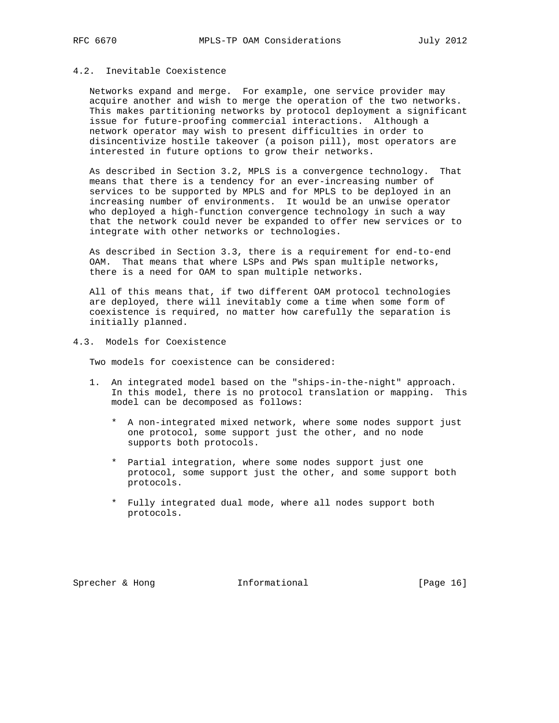# 4.2. Inevitable Coexistence

 Networks expand and merge. For example, one service provider may acquire another and wish to merge the operation of the two networks. This makes partitioning networks by protocol deployment a significant issue for future-proofing commercial interactions. Although a network operator may wish to present difficulties in order to disincentivize hostile takeover (a poison pill), most operators are interested in future options to grow their networks.

 As described in Section 3.2, MPLS is a convergence technology. That means that there is a tendency for an ever-increasing number of services to be supported by MPLS and for MPLS to be deployed in an increasing number of environments. It would be an unwise operator who deployed a high-function convergence technology in such a way that the network could never be expanded to offer new services or to integrate with other networks or technologies.

 As described in Section 3.3, there is a requirement for end-to-end OAM. That means that where LSPs and PWs span multiple networks, there is a need for OAM to span multiple networks.

 All of this means that, if two different OAM protocol technologies are deployed, there will inevitably come a time when some form of coexistence is required, no matter how carefully the separation is initially planned.

4.3. Models for Coexistence

Two models for coexistence can be considered:

- 1. An integrated model based on the "ships-in-the-night" approach. In this model, there is no protocol translation or mapping. This model can be decomposed as follows:
	- \* A non-integrated mixed network, where some nodes support just one protocol, some support just the other, and no node supports both protocols.
	- \* Partial integration, where some nodes support just one protocol, some support just the other, and some support both protocols.
	- \* Fully integrated dual mode, where all nodes support both protocols.

Sprecher & Hong **Informational** [Page 16]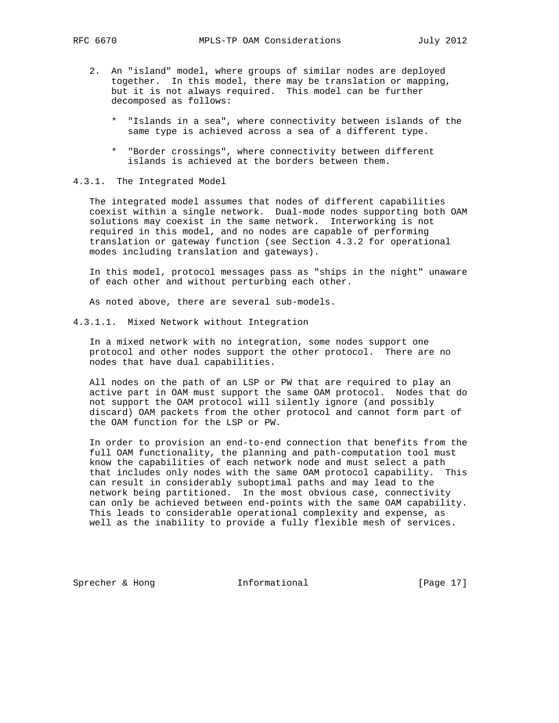- 2. An "island" model, where groups of similar nodes are deployed together. In this model, there may be translation or mapping, but it is not always required. This model can be further decomposed as follows:
	- \* "Islands in a sea", where connectivity between islands of the same type is achieved across a sea of a different type.
	- \* "Border crossings", where connectivity between different islands is achieved at the borders between them.

### 4.3.1. The Integrated Model

 The integrated model assumes that nodes of different capabilities coexist within a single network. Dual-mode nodes supporting both OAM solutions may coexist in the same network. Interworking is not required in this model, and no nodes are capable of performing translation or gateway function (see Section 4.3.2 for operational modes including translation and gateways).

 In this model, protocol messages pass as "ships in the night" unaware of each other and without perturbing each other.

As noted above, there are several sub-models.

4.3.1.1. Mixed Network without Integration

 In a mixed network with no integration, some nodes support one protocol and other nodes support the other protocol. There are no nodes that have dual capabilities.

 All nodes on the path of an LSP or PW that are required to play an active part in OAM must support the same OAM protocol. Nodes that do not support the OAM protocol will silently ignore (and possibly discard) OAM packets from the other protocol and cannot form part of the OAM function for the LSP or PW.

 In order to provision an end-to-end connection that benefits from the full OAM functionality, the planning and path-computation tool must know the capabilities of each network node and must select a path that includes only nodes with the same OAM protocol capability. This can result in considerably suboptimal paths and may lead to the network being partitioned. In the most obvious case, connectivity can only be achieved between end-points with the same OAM capability. This leads to considerable operational complexity and expense, as well as the inability to provide a fully flexible mesh of services.

Sprecher & Hong **Informational** [Page 17]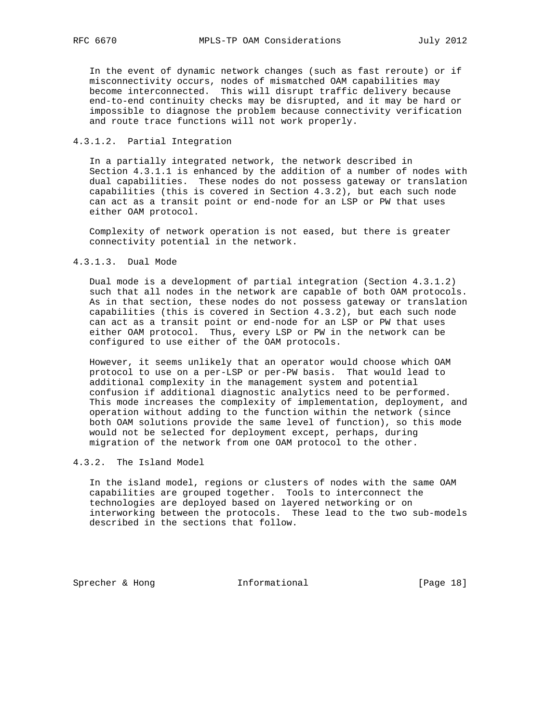In the event of dynamic network changes (such as fast reroute) or if misconnectivity occurs, nodes of mismatched OAM capabilities may become interconnected. This will disrupt traffic delivery because end-to-end continuity checks may be disrupted, and it may be hard or impossible to diagnose the problem because connectivity verification and route trace functions will not work properly.

# 4.3.1.2. Partial Integration

 In a partially integrated network, the network described in Section 4.3.1.1 is enhanced by the addition of a number of nodes with dual capabilities. These nodes do not possess gateway or translation capabilities (this is covered in Section 4.3.2), but each such node can act as a transit point or end-node for an LSP or PW that uses either OAM protocol.

 Complexity of network operation is not eased, but there is greater connectivity potential in the network.

# 4.3.1.3. Dual Mode

 Dual mode is a development of partial integration (Section 4.3.1.2) such that all nodes in the network are capable of both OAM protocols. As in that section, these nodes do not possess gateway or translation capabilities (this is covered in Section 4.3.2), but each such node can act as a transit point or end-node for an LSP or PW that uses either OAM protocol. Thus, every LSP or PW in the network can be configured to use either of the OAM protocols.

 However, it seems unlikely that an operator would choose which OAM protocol to use on a per-LSP or per-PW basis. That would lead to additional complexity in the management system and potential confusion if additional diagnostic analytics need to be performed. This mode increases the complexity of implementation, deployment, and operation without adding to the function within the network (since both OAM solutions provide the same level of function), so this mode would not be selected for deployment except, perhaps, during migration of the network from one OAM protocol to the other.

### 4.3.2. The Island Model

 In the island model, regions or clusters of nodes with the same OAM capabilities are grouped together. Tools to interconnect the technologies are deployed based on layered networking or on interworking between the protocols. These lead to the two sub-models described in the sections that follow.

Sprecher & Hong **Informational** [Page 18]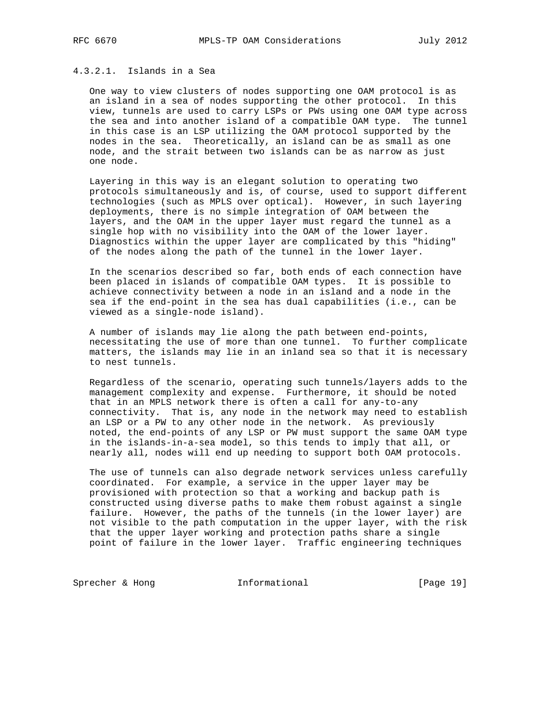# 4.3.2.1. Islands in a Sea

 One way to view clusters of nodes supporting one OAM protocol is as an island in a sea of nodes supporting the other protocol. In this view, tunnels are used to carry LSPs or PWs using one OAM type across the sea and into another island of a compatible OAM type. The tunnel in this case is an LSP utilizing the OAM protocol supported by the nodes in the sea. Theoretically, an island can be as small as one node, and the strait between two islands can be as narrow as just one node.

 Layering in this way is an elegant solution to operating two protocols simultaneously and is, of course, used to support different technologies (such as MPLS over optical). However, in such layering deployments, there is no simple integration of OAM between the layers, and the OAM in the upper layer must regard the tunnel as a single hop with no visibility into the OAM of the lower layer. Diagnostics within the upper layer are complicated by this "hiding" of the nodes along the path of the tunnel in the lower layer.

 In the scenarios described so far, both ends of each connection have been placed in islands of compatible OAM types. It is possible to achieve connectivity between a node in an island and a node in the sea if the end-point in the sea has dual capabilities (i.e., can be viewed as a single-node island).

 A number of islands may lie along the path between end-points, necessitating the use of more than one tunnel. To further complicate matters, the islands may lie in an inland sea so that it is necessary to nest tunnels.

 Regardless of the scenario, operating such tunnels/layers adds to the management complexity and expense. Furthermore, it should be noted that in an MPLS network there is often a call for any-to-any connectivity. That is, any node in the network may need to establish an LSP or a PW to any other node in the network. As previously noted, the end-points of any LSP or PW must support the same OAM type in the islands-in-a-sea model, so this tends to imply that all, or nearly all, nodes will end up needing to support both OAM protocols.

 The use of tunnels can also degrade network services unless carefully coordinated. For example, a service in the upper layer may be provisioned with protection so that a working and backup path is constructed using diverse paths to make them robust against a single failure. However, the paths of the tunnels (in the lower layer) are not visible to the path computation in the upper layer, with the risk that the upper layer working and protection paths share a single point of failure in the lower layer. Traffic engineering techniques

Sprecher & Hong **Informational** [Page 19]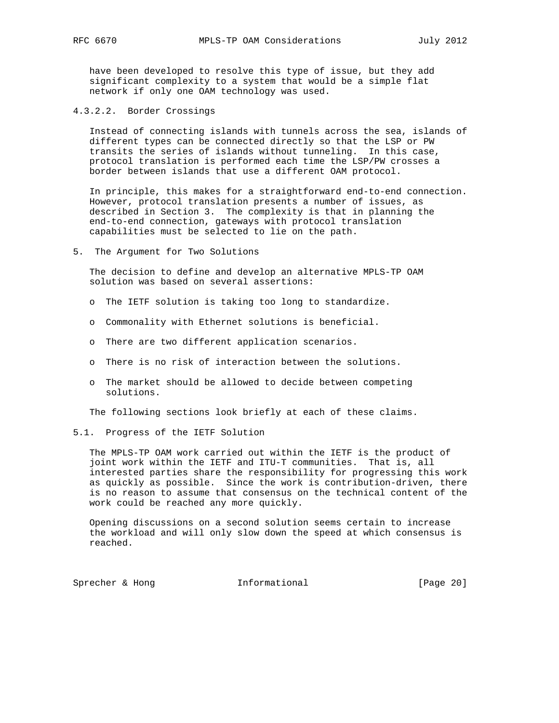have been developed to resolve this type of issue, but they add significant complexity to a system that would be a simple flat network if only one OAM technology was used.

4.3.2.2. Border Crossings

 Instead of connecting islands with tunnels across the sea, islands of different types can be connected directly so that the LSP or PW transits the series of islands without tunneling. In this case, protocol translation is performed each time the LSP/PW crosses a border between islands that use a different OAM protocol.

 In principle, this makes for a straightforward end-to-end connection. However, protocol translation presents a number of issues, as described in Section 3. The complexity is that in planning the end-to-end connection, gateways with protocol translation capabilities must be selected to lie on the path.

5. The Argument for Two Solutions

 The decision to define and develop an alternative MPLS-TP OAM solution was based on several assertions:

- o The IETF solution is taking too long to standardize.
- o Commonality with Ethernet solutions is beneficial.
- o There are two different application scenarios.
- o There is no risk of interaction between the solutions.
- o The market should be allowed to decide between competing solutions.

The following sections look briefly at each of these claims.

5.1. Progress of the IETF Solution

 The MPLS-TP OAM work carried out within the IETF is the product of joint work within the IETF and ITU-T communities. That is, all interested parties share the responsibility for progressing this work as quickly as possible. Since the work is contribution-driven, there is no reason to assume that consensus on the technical content of the work could be reached any more quickly.

 Opening discussions on a second solution seems certain to increase the workload and will only slow down the speed at which consensus is reached.

Sprecher & Hong **Informational** [Page 20]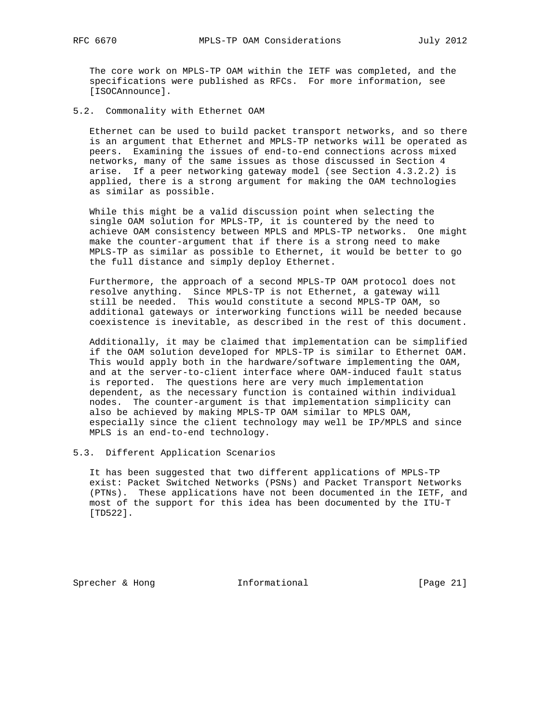The core work on MPLS-TP OAM within the IETF was completed, and the specifications were published as RFCs. For more information, see [ISOCAnnounce].

5.2. Commonality with Ethernet OAM

 Ethernet can be used to build packet transport networks, and so there is an argument that Ethernet and MPLS-TP networks will be operated as peers. Examining the issues of end-to-end connections across mixed networks, many of the same issues as those discussed in Section 4 arise. If a peer networking gateway model (see Section 4.3.2.2) is applied, there is a strong argument for making the OAM technologies as similar as possible.

 While this might be a valid discussion point when selecting the single OAM solution for MPLS-TP, it is countered by the need to achieve OAM consistency between MPLS and MPLS-TP networks. One might make the counter-argument that if there is a strong need to make MPLS-TP as similar as possible to Ethernet, it would be better to go the full distance and simply deploy Ethernet.

 Furthermore, the approach of a second MPLS-TP OAM protocol does not resolve anything. Since MPLS-TP is not Ethernet, a gateway will still be needed. This would constitute a second MPLS-TP OAM, so additional gateways or interworking functions will be needed because coexistence is inevitable, as described in the rest of this document.

 Additionally, it may be claimed that implementation can be simplified if the OAM solution developed for MPLS-TP is similar to Ethernet OAM. This would apply both in the hardware/software implementing the OAM, and at the server-to-client interface where OAM-induced fault status is reported. The questions here are very much implementation dependent, as the necessary function is contained within individual nodes. The counter-argument is that implementation simplicity can also be achieved by making MPLS-TP OAM similar to MPLS OAM, especially since the client technology may well be IP/MPLS and since MPLS is an end-to-end technology.

5.3. Different Application Scenarios

 It has been suggested that two different applications of MPLS-TP exist: Packet Switched Networks (PSNs) and Packet Transport Networks (PTNs). These applications have not been documented in the IETF, and most of the support for this idea has been documented by the ITU-T [TD522].

Sprecher & Hong **Informational** [Page 21]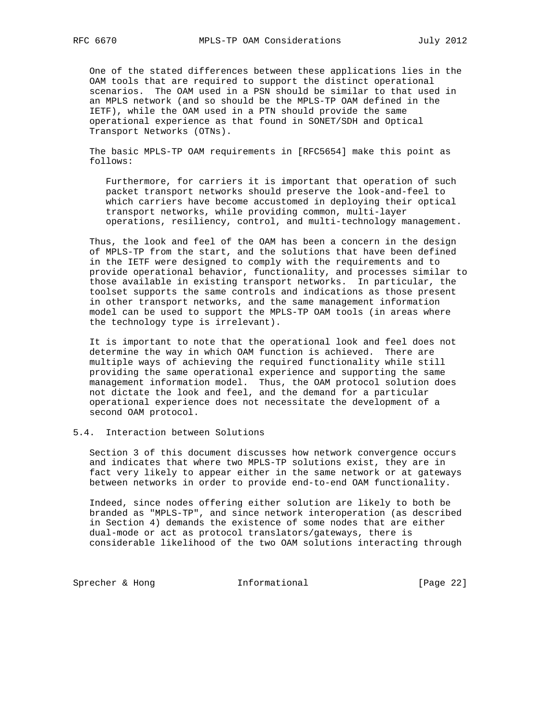One of the stated differences between these applications lies in the OAM tools that are required to support the distinct operational scenarios. The OAM used in a PSN should be similar to that used in an MPLS network (and so should be the MPLS-TP OAM defined in the IETF), while the OAM used in a PTN should provide the same operational experience as that found in SONET/SDH and Optical Transport Networks (OTNs).

 The basic MPLS-TP OAM requirements in [RFC5654] make this point as follows:

 Furthermore, for carriers it is important that operation of such packet transport networks should preserve the look-and-feel to which carriers have become accustomed in deploying their optical transport networks, while providing common, multi-layer operations, resiliency, control, and multi-technology management.

 Thus, the look and feel of the OAM has been a concern in the design of MPLS-TP from the start, and the solutions that have been defined in the IETF were designed to comply with the requirements and to provide operational behavior, functionality, and processes similar to those available in existing transport networks. In particular, the toolset supports the same controls and indications as those present in other transport networks, and the same management information model can be used to support the MPLS-TP OAM tools (in areas where the technology type is irrelevant).

 It is important to note that the operational look and feel does not determine the way in which OAM function is achieved. There are multiple ways of achieving the required functionality while still providing the same operational experience and supporting the same management information model. Thus, the OAM protocol solution does not dictate the look and feel, and the demand for a particular operational experience does not necessitate the development of a second OAM protocol.

# 5.4. Interaction between Solutions

 Section 3 of this document discusses how network convergence occurs and indicates that where two MPLS-TP solutions exist, they are in fact very likely to appear either in the same network or at gateways between networks in order to provide end-to-end OAM functionality.

 Indeed, since nodes offering either solution are likely to both be branded as "MPLS-TP", and since network interoperation (as described in Section 4) demands the existence of some nodes that are either dual-mode or act as protocol translators/gateways, there is considerable likelihood of the two OAM solutions interacting through

Sprecher & Hong **Informational** [Page 22]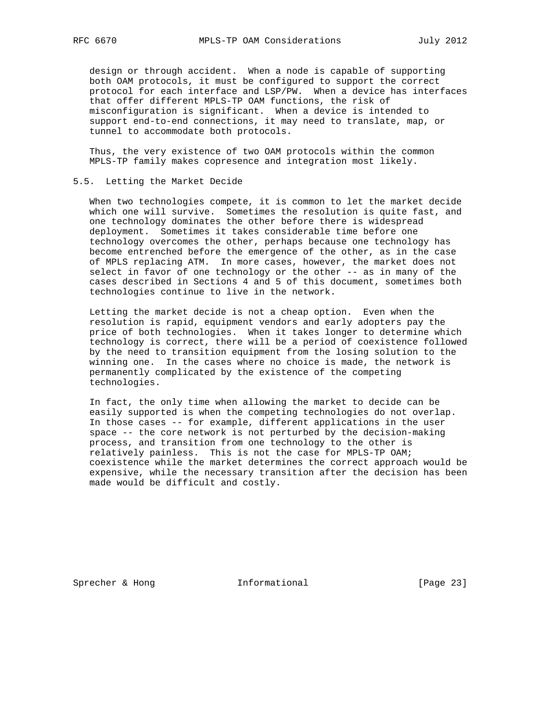design or through accident. When a node is capable of supporting both OAM protocols, it must be configured to support the correct protocol for each interface and LSP/PW. When a device has interfaces that offer different MPLS-TP OAM functions, the risk of misconfiguration is significant. When a device is intended to support end-to-end connections, it may need to translate, map, or tunnel to accommodate both protocols.

 Thus, the very existence of two OAM protocols within the common MPLS-TP family makes copresence and integration most likely.

## 5.5. Letting the Market Decide

 When two technologies compete, it is common to let the market decide which one will survive. Sometimes the resolution is quite fast, and one technology dominates the other before there is widespread deployment. Sometimes it takes considerable time before one technology overcomes the other, perhaps because one technology has become entrenched before the emergence of the other, as in the case of MPLS replacing ATM. In more cases, however, the market does not select in favor of one technology or the other -- as in many of the cases described in Sections 4 and 5 of this document, sometimes both technologies continue to live in the network.

 Letting the market decide is not a cheap option. Even when the resolution is rapid, equipment vendors and early adopters pay the price of both technologies. When it takes longer to determine which technology is correct, there will be a period of coexistence followed by the need to transition equipment from the losing solution to the winning one. In the cases where no choice is made, the network is permanently complicated by the existence of the competing technologies.

 In fact, the only time when allowing the market to decide can be easily supported is when the competing technologies do not overlap. In those cases -- for example, different applications in the user space -- the core network is not perturbed by the decision-making process, and transition from one technology to the other is relatively painless. This is not the case for MPLS-TP OAM; coexistence while the market determines the correct approach would be expensive, while the necessary transition after the decision has been made would be difficult and costly.

Sprecher & Hong **Informational** [Page 23]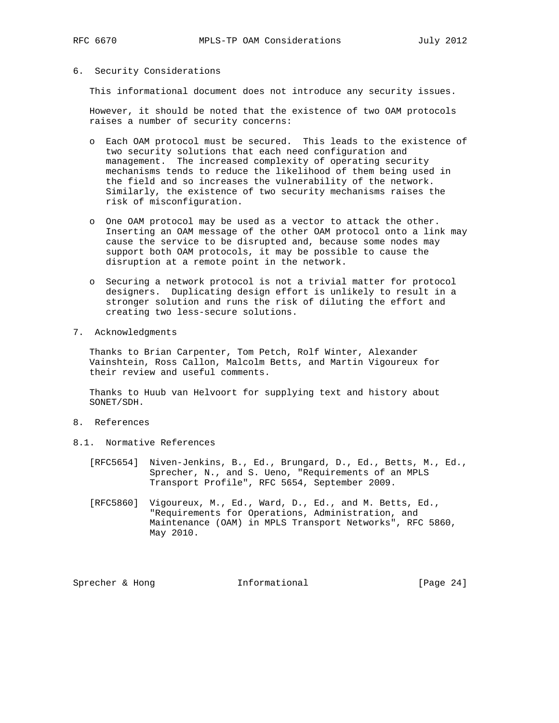## 6. Security Considerations

This informational document does not introduce any security issues.

 However, it should be noted that the existence of two OAM protocols raises a number of security concerns:

- o Each OAM protocol must be secured. This leads to the existence of two security solutions that each need configuration and management. The increased complexity of operating security mechanisms tends to reduce the likelihood of them being used in the field and so increases the vulnerability of the network. Similarly, the existence of two security mechanisms raises the risk of misconfiguration.
- o One OAM protocol may be used as a vector to attack the other. Inserting an OAM message of the other OAM protocol onto a link may cause the service to be disrupted and, because some nodes may support both OAM protocols, it may be possible to cause the disruption at a remote point in the network.
- o Securing a network protocol is not a trivial matter for protocol designers. Duplicating design effort is unlikely to result in a stronger solution and runs the risk of diluting the effort and creating two less-secure solutions.
- 7. Acknowledgments

 Thanks to Brian Carpenter, Tom Petch, Rolf Winter, Alexander Vainshtein, Ross Callon, Malcolm Betts, and Martin Vigoureux for their review and useful comments.

 Thanks to Huub van Helvoort for supplying text and history about SONET/SDH.

- 8. References
- 8.1. Normative References
	- [RFC5654] Niven-Jenkins, B., Ed., Brungard, D., Ed., Betts, M., Ed., Sprecher, N., and S. Ueno, "Requirements of an MPLS Transport Profile", RFC 5654, September 2009.
	- [RFC5860] Vigoureux, M., Ed., Ward, D., Ed., and M. Betts, Ed., "Requirements for Operations, Administration, and Maintenance (OAM) in MPLS Transport Networks", RFC 5860, May 2010.

Sprecher & Hong **Informational** [Page 24]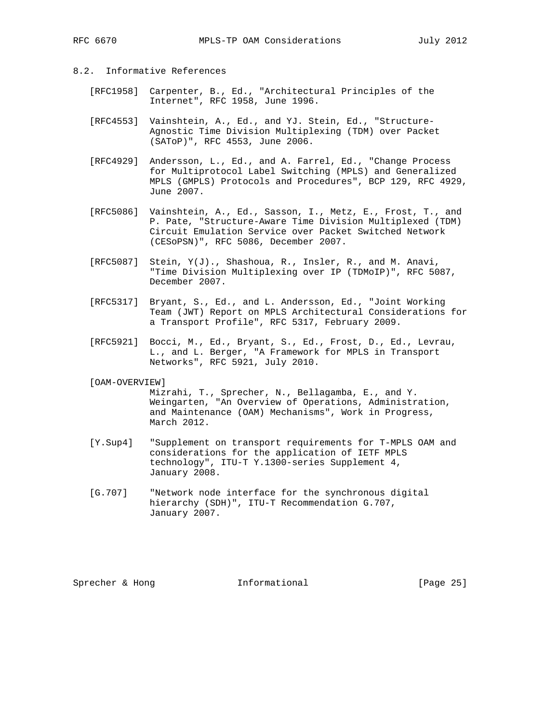# 8.2. Informative References

- [RFC1958] Carpenter, B., Ed., "Architectural Principles of the Internet", RFC 1958, June 1996.
- [RFC4553] Vainshtein, A., Ed., and YJ. Stein, Ed., "Structure- Agnostic Time Division Multiplexing (TDM) over Packet (SAToP)", RFC 4553, June 2006.
- [RFC4929] Andersson, L., Ed., and A. Farrel, Ed., "Change Process for Multiprotocol Label Switching (MPLS) and Generalized MPLS (GMPLS) Protocols and Procedures", BCP 129, RFC 4929, June 2007.
- [RFC5086] Vainshtein, A., Ed., Sasson, I., Metz, E., Frost, T., and P. Pate, "Structure-Aware Time Division Multiplexed (TDM) Circuit Emulation Service over Packet Switched Network (CESoPSN)", RFC 5086, December 2007.
- [RFC5087] Stein, Y(J)., Shashoua, R., Insler, R., and M. Anavi, "Time Division Multiplexing over IP (TDMoIP)", RFC 5087, December 2007.
- [RFC5317] Bryant, S., Ed., and L. Andersson, Ed., "Joint Working Team (JWT) Report on MPLS Architectural Considerations for a Transport Profile", RFC 5317, February 2009.
- [RFC5921] Bocci, M., Ed., Bryant, S., Ed., Frost, D., Ed., Levrau, L., and L. Berger, "A Framework for MPLS in Transport Networks", RFC 5921, July 2010.

#### [OAM-OVERVIEW]

 Mizrahi, T., Sprecher, N., Bellagamba, E., and Y. Weingarten, "An Overview of Operations, Administration, and Maintenance (OAM) Mechanisms", Work in Progress, March 2012.

- [Y.Sup4] "Supplement on transport requirements for T-MPLS OAM and considerations for the application of IETF MPLS technology", ITU-T Y.1300-series Supplement 4, January 2008.
- [G.707] "Network node interface for the synchronous digital hierarchy (SDH)", ITU-T Recommendation G.707, January 2007.

Sprecher & Hong **Informational** [Page 25]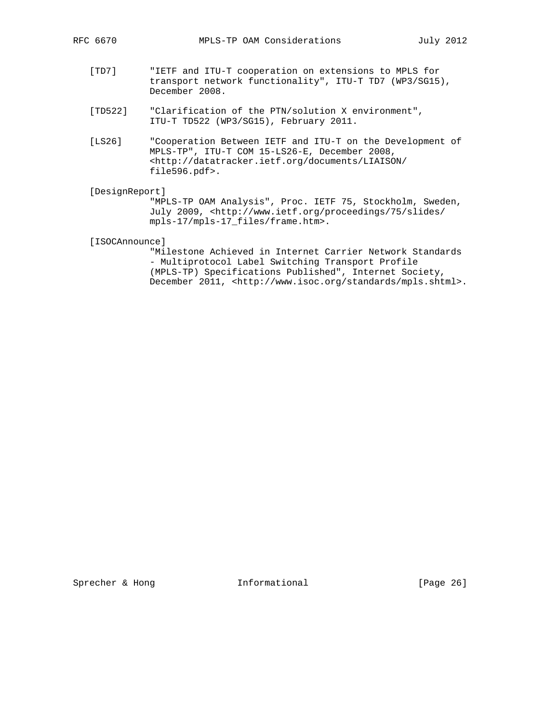- [TD7] "IETF and ITU-T cooperation on extensions to MPLS for transport network functionality", ITU-T TD7 (WP3/SG15), December 2008.
- [TD522] "Clarification of the PTN/solution X environment", ITU-T TD522 (WP3/SG15), February 2011.
- [LS26] "Cooperation Between IETF and ITU-T on the Development of MPLS-TP", ITU-T COM 15-LS26-E, December 2008, <http://datatracker.ietf.org/documents/LIAISON/ file596.pdf>.

#### [DesignReport]

 "MPLS-TP OAM Analysis", Proc. IETF 75, Stockholm, Sweden, July 2009, <http://www.ietf.org/proceedings/75/slides/ mpls-17/mpls-17\_files/frame.htm>.

[ISOCAnnounce]

 "Milestone Achieved in Internet Carrier Network Standards - Multiprotocol Label Switching Transport Profile (MPLS-TP) Specifications Published", Internet Society, December 2011, <http://www.isoc.org/standards/mpls.shtml>.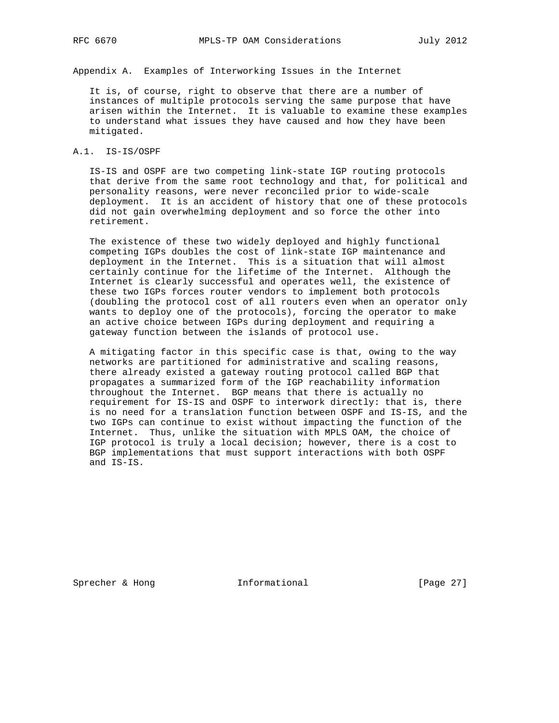Appendix A. Examples of Interworking Issues in the Internet

 It is, of course, right to observe that there are a number of instances of multiple protocols serving the same purpose that have arisen within the Internet. It is valuable to examine these examples to understand what issues they have caused and how they have been mitigated.

# A.1. IS-IS/OSPF

 IS-IS and OSPF are two competing link-state IGP routing protocols that derive from the same root technology and that, for political and personality reasons, were never reconciled prior to wide-scale deployment. It is an accident of history that one of these protocols did not gain overwhelming deployment and so force the other into retirement.

 The existence of these two widely deployed and highly functional competing IGPs doubles the cost of link-state IGP maintenance and deployment in the Internet. This is a situation that will almost certainly continue for the lifetime of the Internet. Although the Internet is clearly successful and operates well, the existence of these two IGPs forces router vendors to implement both protocols (doubling the protocol cost of all routers even when an operator only wants to deploy one of the protocols), forcing the operator to make an active choice between IGPs during deployment and requiring a gateway function between the islands of protocol use.

 A mitigating factor in this specific case is that, owing to the way networks are partitioned for administrative and scaling reasons, there already existed a gateway routing protocol called BGP that propagates a summarized form of the IGP reachability information throughout the Internet. BGP means that there is actually no requirement for IS-IS and OSPF to interwork directly: that is, there is no need for a translation function between OSPF and IS-IS, and the two IGPs can continue to exist without impacting the function of the Internet. Thus, unlike the situation with MPLS OAM, the choice of IGP protocol is truly a local decision; however, there is a cost to BGP implementations that must support interactions with both OSPF and IS-IS.

Sprecher & Hong **Informational** [Page 27]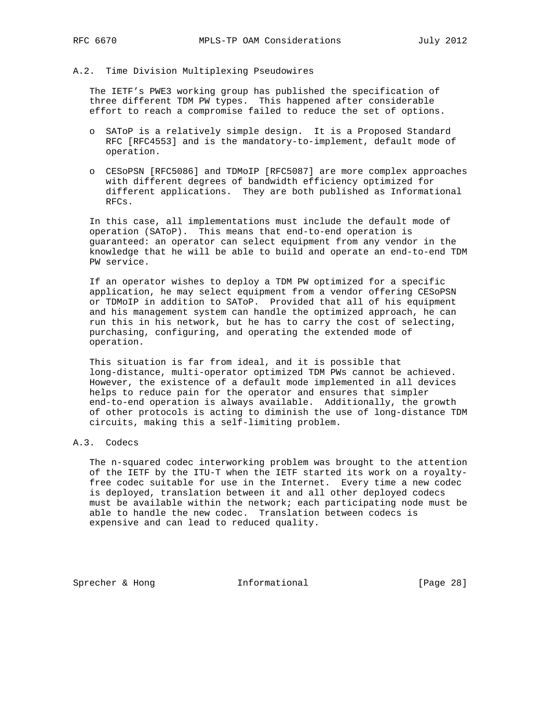#### A.2. Time Division Multiplexing Pseudowires

 The IETF's PWE3 working group has published the specification of three different TDM PW types. This happened after considerable effort to reach a compromise failed to reduce the set of options.

- o SAToP is a relatively simple design. It is a Proposed Standard RFC [RFC4553] and is the mandatory-to-implement, default mode of operation.
- o CESoPSN [RFC5086] and TDMoIP [RFC5087] are more complex approaches with different degrees of bandwidth efficiency optimized for different applications. They are both published as Informational RFCs.

 In this case, all implementations must include the default mode of operation (SAToP). This means that end-to-end operation is guaranteed: an operator can select equipment from any vendor in the knowledge that he will be able to build and operate an end-to-end TDM PW service.

 If an operator wishes to deploy a TDM PW optimized for a specific application, he may select equipment from a vendor offering CESoPSN or TDMoIP in addition to SAToP. Provided that all of his equipment and his management system can handle the optimized approach, he can run this in his network, but he has to carry the cost of selecting, purchasing, configuring, and operating the extended mode of operation.

 This situation is far from ideal, and it is possible that long-distance, multi-operator optimized TDM PWs cannot be achieved. However, the existence of a default mode implemented in all devices helps to reduce pain for the operator and ensures that simpler end-to-end operation is always available. Additionally, the growth of other protocols is acting to diminish the use of long-distance TDM circuits, making this a self-limiting problem.

## A.3. Codecs

 The n-squared codec interworking problem was brought to the attention of the IETF by the ITU-T when the IETF started its work on a royalty free codec suitable for use in the Internet. Every time a new codec is deployed, translation between it and all other deployed codecs must be available within the network; each participating node must be able to handle the new codec. Translation between codecs is expensive and can lead to reduced quality.

Sprecher & Hong **Informational** [Page 28]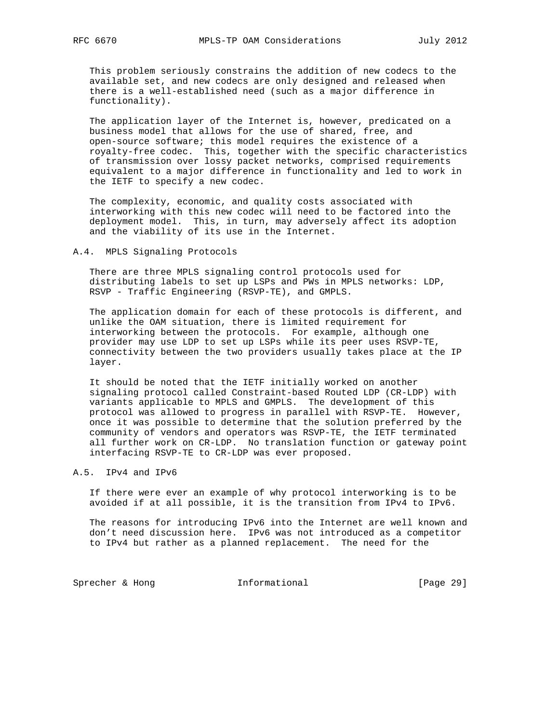This problem seriously constrains the addition of new codecs to the available set, and new codecs are only designed and released when there is a well-established need (such as a major difference in functionality).

 The application layer of the Internet is, however, predicated on a business model that allows for the use of shared, free, and open-source software; this model requires the existence of a royalty-free codec. This, together with the specific characteristics of transmission over lossy packet networks, comprised requirements equivalent to a major difference in functionality and led to work in the IETF to specify a new codec.

 The complexity, economic, and quality costs associated with interworking with this new codec will need to be factored into the deployment model. This, in turn, may adversely affect its adoption and the viability of its use in the Internet.

## A.4. MPLS Signaling Protocols

 There are three MPLS signaling control protocols used for distributing labels to set up LSPs and PWs in MPLS networks: LDP, RSVP - Traffic Engineering (RSVP-TE), and GMPLS.

 The application domain for each of these protocols is different, and unlike the OAM situation, there is limited requirement for interworking between the protocols. For example, although one provider may use LDP to set up LSPs while its peer uses RSVP-TE, connectivity between the two providers usually takes place at the IP layer.

 It should be noted that the IETF initially worked on another signaling protocol called Constraint-based Routed LDP (CR-LDP) with variants applicable to MPLS and GMPLS. The development of this protocol was allowed to progress in parallel with RSVP-TE. However, once it was possible to determine that the solution preferred by the community of vendors and operators was RSVP-TE, the IETF terminated all further work on CR-LDP. No translation function or gateway point interfacing RSVP-TE to CR-LDP was ever proposed.

### A.5. IPv4 and IPv6

 If there were ever an example of why protocol interworking is to be avoided if at all possible, it is the transition from IPv4 to IPv6.

 The reasons for introducing IPv6 into the Internet are well known and don't need discussion here. IPv6 was not introduced as a competitor to IPv4 but rather as a planned replacement. The need for the

Sprecher & Hong **Informational** [Page 29]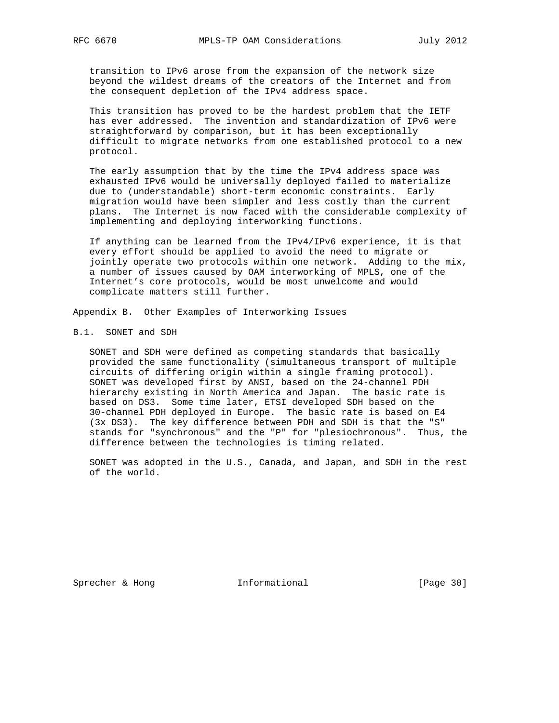transition to IPv6 arose from the expansion of the network size beyond the wildest dreams of the creators of the Internet and from the consequent depletion of the IPv4 address space.

 This transition has proved to be the hardest problem that the IETF has ever addressed. The invention and standardization of IPv6 were straightforward by comparison, but it has been exceptionally difficult to migrate networks from one established protocol to a new protocol.

 The early assumption that by the time the IPv4 address space was exhausted IPv6 would be universally deployed failed to materialize due to (understandable) short-term economic constraints. Early migration would have been simpler and less costly than the current plans. The Internet is now faced with the considerable complexity of implementing and deploying interworking functions.

 If anything can be learned from the IPv4/IPv6 experience, it is that every effort should be applied to avoid the need to migrate or jointly operate two protocols within one network. Adding to the mix, a number of issues caused by OAM interworking of MPLS, one of the Internet's core protocols, would be most unwelcome and would complicate matters still further.

Appendix B. Other Examples of Interworking Issues

# B.1. SONET and SDH

 SONET and SDH were defined as competing standards that basically provided the same functionality (simultaneous transport of multiple circuits of differing origin within a single framing protocol). SONET was developed first by ANSI, based on the 24-channel PDH hierarchy existing in North America and Japan. The basic rate is based on DS3. Some time later, ETSI developed SDH based on the 30-channel PDH deployed in Europe. The basic rate is based on E4 (3x DS3). The key difference between PDH and SDH is that the "S" stands for "synchronous" and the "P" for "plesiochronous". Thus, the difference between the technologies is timing related.

 SONET was adopted in the U.S., Canada, and Japan, and SDH in the rest of the world.

Sprecher & Hong **Informational** [Page 30]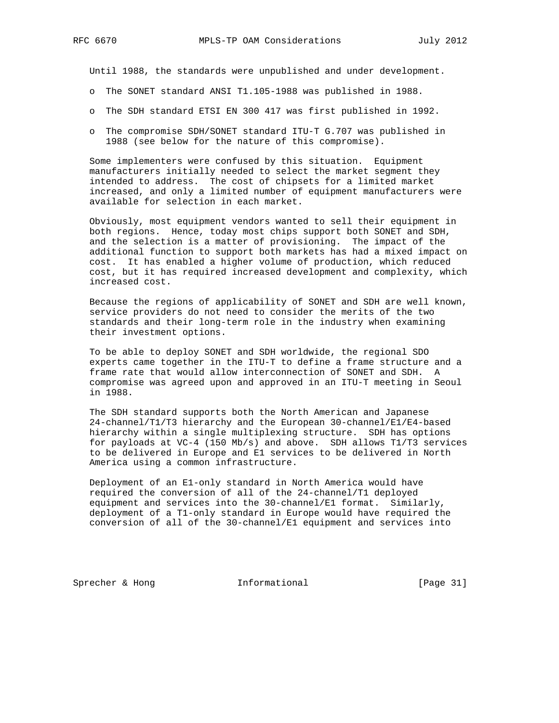Until 1988, the standards were unpublished and under development.

- o The SONET standard ANSI T1.105-1988 was published in 1988.
- o The SDH standard ETSI EN 300 417 was first published in 1992.
- o The compromise SDH/SONET standard ITU-T G.707 was published in 1988 (see below for the nature of this compromise).

 Some implementers were confused by this situation. Equipment manufacturers initially needed to select the market segment they intended to address. The cost of chipsets for a limited market increased, and only a limited number of equipment manufacturers were available for selection in each market.

 Obviously, most equipment vendors wanted to sell their equipment in both regions. Hence, today most chips support both SONET and SDH, and the selection is a matter of provisioning. The impact of the additional function to support both markets has had a mixed impact on cost. It has enabled a higher volume of production, which reduced cost, but it has required increased development and complexity, which increased cost.

 Because the regions of applicability of SONET and SDH are well known, service providers do not need to consider the merits of the two standards and their long-term role in the industry when examining their investment options.

 To be able to deploy SONET and SDH worldwide, the regional SDO experts came together in the ITU-T to define a frame structure and a frame rate that would allow interconnection of SONET and SDH. A compromise was agreed upon and approved in an ITU-T meeting in Seoul in 1988.

 The SDH standard supports both the North American and Japanese 24-channel/T1/T3 hierarchy and the European 30-channel/E1/E4-based hierarchy within a single multiplexing structure. SDH has options for payloads at VC-4 (150 Mb/s) and above. SDH allows T1/T3 services to be delivered in Europe and E1 services to be delivered in North America using a common infrastructure.

 Deployment of an E1-only standard in North America would have required the conversion of all of the 24-channel/T1 deployed equipment and services into the 30-channel/E1 format. Similarly, deployment of a T1-only standard in Europe would have required the conversion of all of the 30-channel/E1 equipment and services into

Sprecher & Hong **Informational** [Page 31]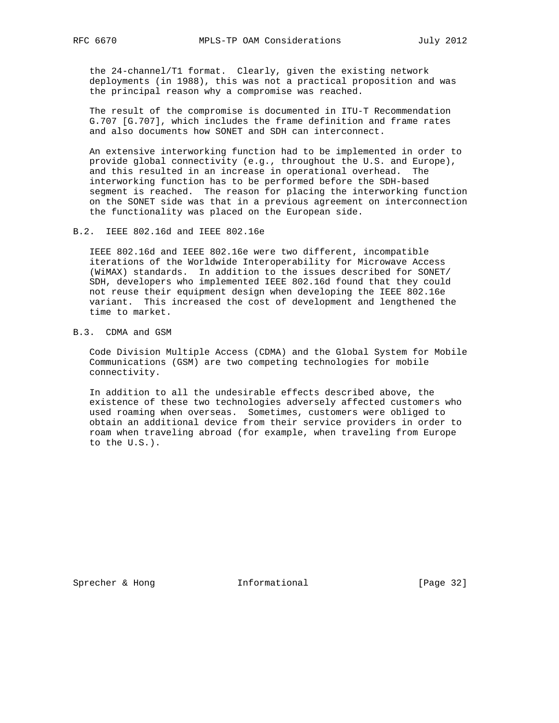the 24-channel/T1 format. Clearly, given the existing network deployments (in 1988), this was not a practical proposition and was the principal reason why a compromise was reached.

 The result of the compromise is documented in ITU-T Recommendation G.707 [G.707], which includes the frame definition and frame rates and also documents how SONET and SDH can interconnect.

 An extensive interworking function had to be implemented in order to provide global connectivity (e.g., throughout the U.S. and Europe), and this resulted in an increase in operational overhead. The interworking function has to be performed before the SDH-based segment is reached. The reason for placing the interworking function on the SONET side was that in a previous agreement on interconnection the functionality was placed on the European side.

B.2. IEEE 802.16d and IEEE 802.16e

 IEEE 802.16d and IEEE 802.16e were two different, incompatible iterations of the Worldwide Interoperability for Microwave Access (WiMAX) standards. In addition to the issues described for SONET/ SDH, developers who implemented IEEE 802.16d found that they could not reuse their equipment design when developing the IEEE 802.16e variant. This increased the cost of development and lengthened the time to market.

# B.3. CDMA and GSM

 Code Division Multiple Access (CDMA) and the Global System for Mobile Communications (GSM) are two competing technologies for mobile connectivity.

 In addition to all the undesirable effects described above, the existence of these two technologies adversely affected customers who used roaming when overseas. Sometimes, customers were obliged to obtain an additional device from their service providers in order to roam when traveling abroad (for example, when traveling from Europe to the U.S.).

Sprecher & Hong **Informational** [Page 32]